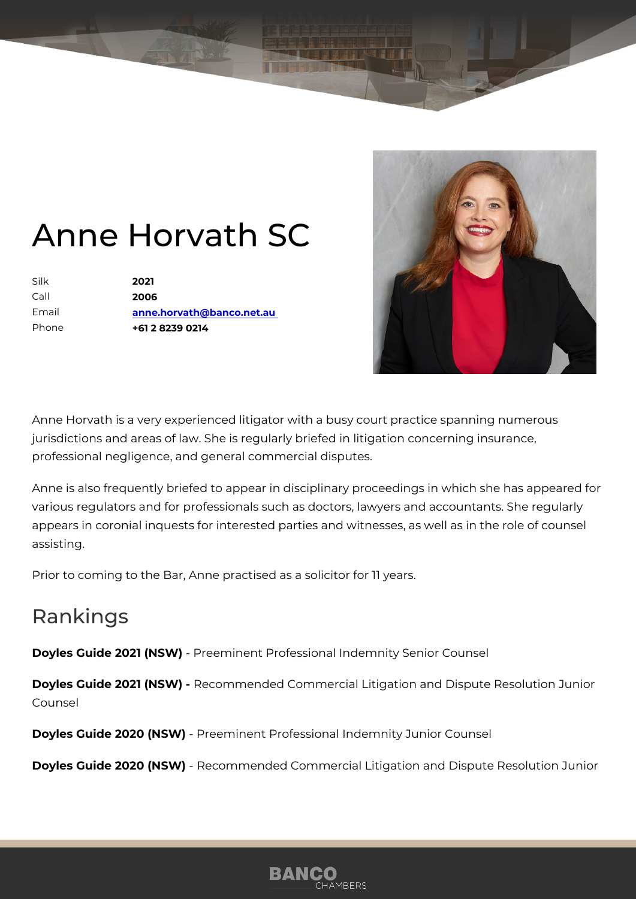## Anne Horvath SC

Silk 2021 Call 2006 Email [anne.horvath@banco.](mailto:anne.horvath@banco.net.au)net.au Phone +61 2 8239 0214

Anne Horvath is a very experienced litigator with a busy court practice s jurisdictions and areas of law. She is regularly briefed in litigation conce professional negligence, and general commercial disputes.

Anne is also frequently briefed to appear in disciplinary proceedings in v various regulators and for professionals such as doctors, lawyers and ac appears in coronial inquests for interested parties and witnesses, as well assisting.

Prior to coming to the Bar, Anne practised as a solicitor for 11 years.

## Rankings

Doyles Guide 2021-(RFSd/b) inent Professional Indemnity Senior Counsel

Doyles Guide 2021 - (RNeScW) mmended Commercial Litigation and Dispute Res Counsel

Doyles Guide 2020 (NPS & Ominent Professional Indemnity Junior Counsel

Doyles Guide 2020 (NSW) mended Commercial Litigation and Dispute Res